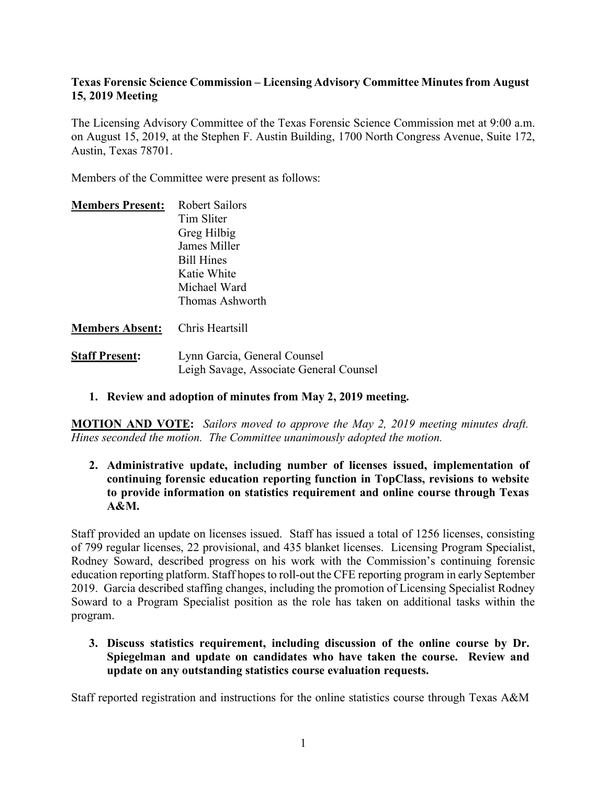## **Texas Forensic Science Commission – Licensing Advisory Committee Minutes from August 15, 2019 Meeting**

The Licensing Advisory Committee of the Texas Forensic Science Commission met at 9:00 a.m. on August 15, 2019, at the Stephen F. Austin Building, 1700 North Congress Avenue, Suite 172, Austin, Texas 78701.

Members of the Committee were present as follows:

| <b>Members Present:</b> | Robert Sailors    |
|-------------------------|-------------------|
|                         | Tim Sliter        |
|                         | Greg Hilbig       |
|                         | James Miller      |
|                         | <b>Bill Hines</b> |
|                         | Katie White       |
|                         | Michael Ward      |
|                         | Thomas Ashworth   |
|                         |                   |

## **Members Absent:** Chris Heartsill

- **Staff Present:** Lynn Garcia, General Counsel Leigh Savage, Associate General Counsel
	- **1. Review and adoption of minutes from May 2, 2019 meeting.**

**MOTION AND VOTE:** *Sailors moved to approve the May 2, 2019 meeting minutes draft. Hines seconded the motion. The Committee unanimously adopted the motion.*

**2. Administrative update, including number of licenses issued, implementation of continuing forensic education reporting function in TopClass, revisions to website to provide information on statistics requirement and online course through Texas A&M.**

Staff provided an update on licenses issued. Staff has issued a total of 1256 licenses, consisting of 799 regular licenses, 22 provisional, and 435 blanket licenses. Licensing Program Specialist, Rodney Soward, described progress on his work with the Commission's continuing forensic education reporting platform. Staff hopes to roll-out the CFE reporting program in early September 2019. Garcia described staffing changes, including the promotion of Licensing Specialist Rodney Soward to a Program Specialist position as the role has taken on additional tasks within the program.

**3. Discuss statistics requirement, including discussion of the online course by Dr. Spiegelman and update on candidates who have taken the course. Review and update on any outstanding statistics course evaluation requests.** 

Staff reported registration and instructions for the online statistics course through Texas A&M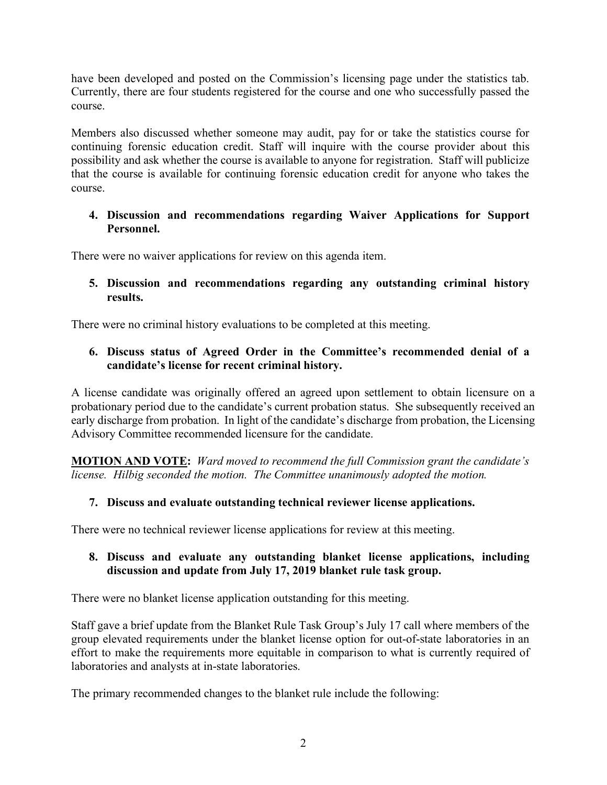have been developed and posted on the Commission's licensing page under the statistics tab. Currently, there are four students registered for the course and one who successfully passed the course.

Members also discussed whether someone may audit, pay for or take the statistics course for continuing forensic education credit. Staff will inquire with the course provider about this possibility and ask whether the course is available to anyone for registration. Staff will publicize that the course is available for continuing forensic education credit for anyone who takes the course.

### **4. Discussion and recommendations regarding Waiver Applications for Support Personnel.**

There were no waiver applications for review on this agenda item.

## **5. Discussion and recommendations regarding any outstanding criminal history results.**

There were no criminal history evaluations to be completed at this meeting.

## **6. Discuss status of Agreed Order in the Committee's recommended denial of a candidate's license for recent criminal history.**

A license candidate was originally offered an agreed upon settlement to obtain licensure on a probationary period due to the candidate's current probation status. She subsequently received an early discharge from probation. In light of the candidate's discharge from probation, the Licensing Advisory Committee recommended licensure for the candidate.

**MOTION AND VOTE:** *Ward moved to recommend the full Commission grant the candidate's license. Hilbig seconded the motion. The Committee unanimously adopted the motion.*

## **7. Discuss and evaluate outstanding technical reviewer license applications.**

There were no technical reviewer license applications for review at this meeting.

## **8. Discuss and evaluate any outstanding blanket license applications, including discussion and update from July 17, 2019 blanket rule task group.**

There were no blanket license application outstanding for this meeting.

Staff gave a brief update from the Blanket Rule Task Group's July 17 call where members of the group elevated requirements under the blanket license option for out-of-state laboratories in an effort to make the requirements more equitable in comparison to what is currently required of laboratories and analysts at in-state laboratories.

The primary recommended changes to the blanket rule include the following: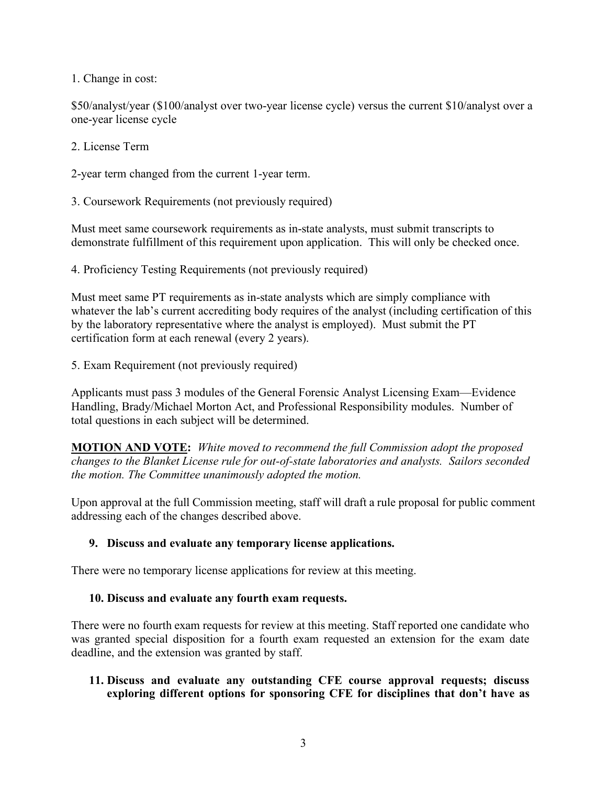1. Change in cost:

\$50/analyst/year (\$100/analyst over two-year license cycle) versus the current \$10/analyst over a one-year license cycle

2. License Term

2-year term changed from the current 1-year term.

3. Coursework Requirements (not previously required)

Must meet same coursework requirements as in-state analysts, must submit transcripts to demonstrate fulfillment of this requirement upon application. This will only be checked once.

4. Proficiency Testing Requirements (not previously required)

Must meet same PT requirements as in-state analysts which are simply compliance with whatever the lab's current accrediting body requires of the analyst (including certification of this by the laboratory representative where the analyst is employed). Must submit the PT certification form at each renewal (every 2 years).

5. Exam Requirement (not previously required)

Applicants must pass 3 modules of the General Forensic Analyst Licensing Exam—Evidence Handling, Brady/Michael Morton Act, and Professional Responsibility modules. Number of total questions in each subject will be determined.

**MOTION AND VOTE:** *White moved to recommend the full Commission adopt the proposed changes to the Blanket License rule for out-of-state laboratories and analysts. Sailors seconded the motion. The Committee unanimously adopted the motion.* 

Upon approval at the full Commission meeting, staff will draft a rule proposal for public comment addressing each of the changes described above.

## **9. Discuss and evaluate any temporary license applications.**

There were no temporary license applications for review at this meeting.

#### **10. Discuss and evaluate any fourth exam requests.**

There were no fourth exam requests for review at this meeting. Staff reported one candidate who was granted special disposition for a fourth exam requested an extension for the exam date deadline, and the extension was granted by staff.

## **11. Discuss and evaluate any outstanding CFE course approval requests; discuss exploring different options for sponsoring CFE for disciplines that don't have as**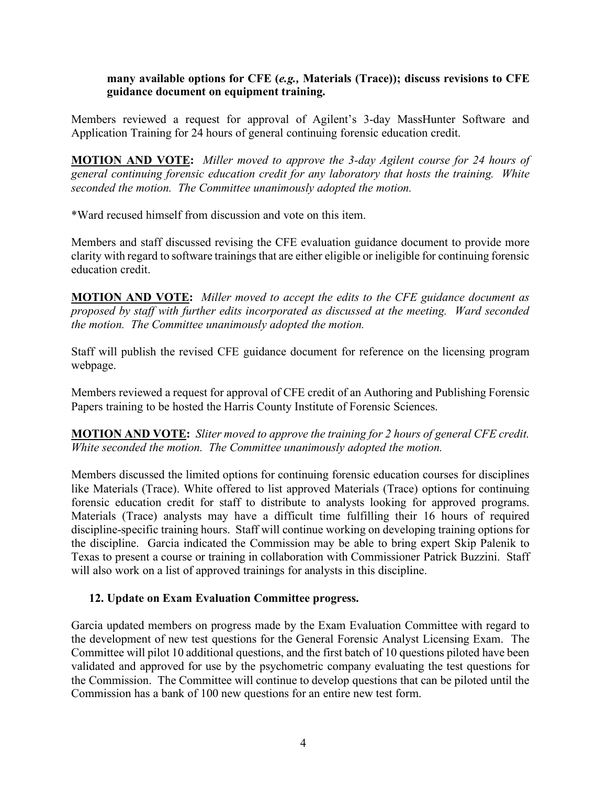#### **many available options for CFE (***e.g.,* **Materials (Trace)); discuss revisions to CFE guidance document on equipment training.**

Members reviewed a request for approval of Agilent's 3-day MassHunter Software and Application Training for 24 hours of general continuing forensic education credit.

**MOTION AND VOTE:** *Miller moved to approve the 3-day Agilent course for 24 hours of general continuing forensic education credit for any laboratory that hosts the training. White seconded the motion. The Committee unanimously adopted the motion.* 

\*Ward recused himself from discussion and vote on this item.

Members and staff discussed revising the CFE evaluation guidance document to provide more clarity with regard to software trainings that are either eligible or ineligible for continuing forensic education credit.

**MOTION AND VOTE:** *Miller moved to accept the edits to the CFE guidance document as proposed by staff with further edits incorporated as discussed at the meeting. Ward seconded the motion. The Committee unanimously adopted the motion.* 

Staff will publish the revised CFE guidance document for reference on the licensing program webpage.

Members reviewed a request for approval of CFE credit of an Authoring and Publishing Forensic Papers training to be hosted the Harris County Institute of Forensic Sciences.

**MOTION AND VOTE:** *Sliter moved to approve the training for 2 hours of general CFE credit. White seconded the motion. The Committee unanimously adopted the motion.*

Members discussed the limited options for continuing forensic education courses for disciplines like Materials (Trace). White offered to list approved Materials (Trace) options for continuing forensic education credit for staff to distribute to analysts looking for approved programs. Materials (Trace) analysts may have a difficult time fulfilling their 16 hours of required discipline-specific training hours. Staff will continue working on developing training options for the discipline. Garcia indicated the Commission may be able to bring expert Skip Palenik to Texas to present a course or training in collaboration with Commissioner Patrick Buzzini. Staff will also work on a list of approved trainings for analysts in this discipline.

## **12. Update on Exam Evaluation Committee progress.**

Garcia updated members on progress made by the Exam Evaluation Committee with regard to the development of new test questions for the General Forensic Analyst Licensing Exam. The Committee will pilot 10 additional questions, and the first batch of 10 questions piloted have been validated and approved for use by the psychometric company evaluating the test questions for the Commission. The Committee will continue to develop questions that can be piloted until the Commission has a bank of 100 new questions for an entire new test form.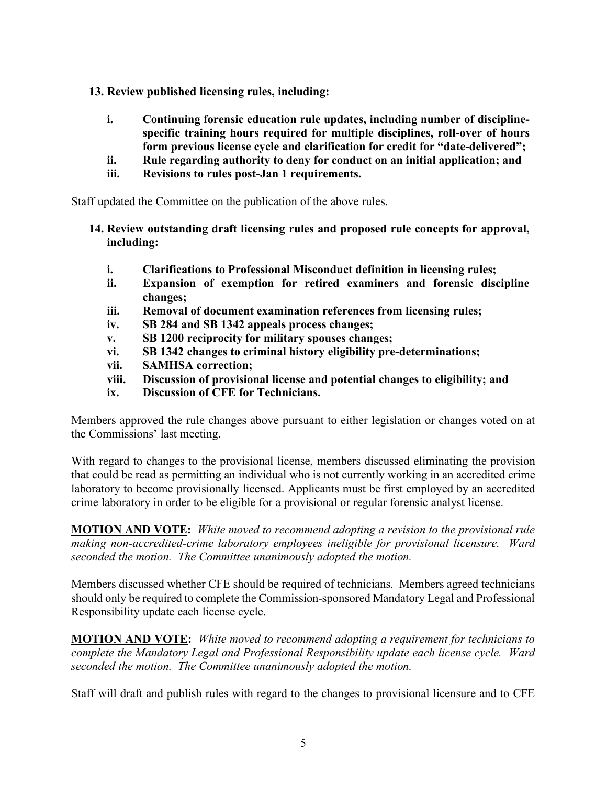- **13. Review published licensing rules, including:**
	- **i. Continuing forensic education rule updates, including number of disciplinespecific training hours required for multiple disciplines, roll-over of hours form previous license cycle and clarification for credit for "date-delivered";**
	- **ii. Rule regarding authority to deny for conduct on an initial application; and**
	- **iii. Revisions to rules post-Jan 1 requirements.**

Staff updated the Committee on the publication of the above rules.

- **14. Review outstanding draft licensing rules and proposed rule concepts for approval, including:**
	- **i. Clarifications to Professional Misconduct definition in licensing rules;**
	- **ii. Expansion of exemption for retired examiners and forensic discipline changes;**
	- **iii. Removal of document examination references from licensing rules;**
	- **iv. SB 284 and SB 1342 appeals process changes;**
	- **v. SB 1200 reciprocity for military spouses changes;**
	- **vi. SB 1342 changes to criminal history eligibility pre-determinations;**
	- **vii. SAMHSA correction;**
	- **viii. Discussion of provisional license and potential changes to eligibility; and**
	- **ix. Discussion of CFE for Technicians.**

Members approved the rule changes above pursuant to either legislation or changes voted on at the Commissions' last meeting.

With regard to changes to the provisional license, members discussed eliminating the provision that could be read as permitting an individual who is not currently working in an accredited crime laboratory to become provisionally licensed. Applicants must be first employed by an accredited crime laboratory in order to be eligible for a provisional or regular forensic analyst license.

**MOTION AND VOTE:** *White moved to recommend adopting a revision to the provisional rule making non-accredited-crime laboratory employees ineligible for provisional licensure. Ward seconded the motion. The Committee unanimously adopted the motion.*

Members discussed whether CFE should be required of technicians. Members agreed technicians should only be required to complete the Commission-sponsored Mandatory Legal and Professional Responsibility update each license cycle.

**MOTION AND VOTE:** *White moved to recommend adopting a requirement for technicians to complete the Mandatory Legal and Professional Responsibility update each license cycle. Ward seconded the motion. The Committee unanimously adopted the motion.*

Staff will draft and publish rules with regard to the changes to provisional licensure and to CFE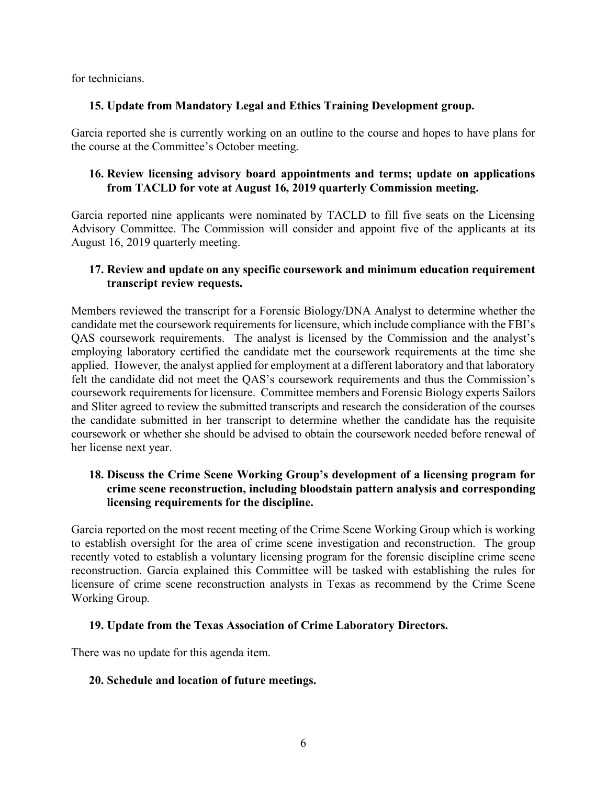for technicians.

## **15. Update from Mandatory Legal and Ethics Training Development group.**

Garcia reported she is currently working on an outline to the course and hopes to have plans for the course at the Committee's October meeting.

## **16. Review licensing advisory board appointments and terms; update on applications from TACLD for vote at August 16, 2019 quarterly Commission meeting.**

Garcia reported nine applicants were nominated by TACLD to fill five seats on the Licensing Advisory Committee. The Commission will consider and appoint five of the applicants at its August 16, 2019 quarterly meeting.

## **17. Review and update on any specific coursework and minimum education requirement transcript review requests.**

Members reviewed the transcript for a Forensic Biology/DNA Analyst to determine whether the candidate met the coursework requirements for licensure, which include compliance with the FBI's QAS coursework requirements. The analyst is licensed by the Commission and the analyst's employing laboratory certified the candidate met the coursework requirements at the time she applied. However, the analyst applied for employment at a different laboratory and that laboratory felt the candidate did not meet the QAS's coursework requirements and thus the Commission's coursework requirements for licensure. Committee members and Forensic Biology experts Sailors and Sliter agreed to review the submitted transcripts and research the consideration of the courses the candidate submitted in her transcript to determine whether the candidate has the requisite coursework or whether she should be advised to obtain the coursework needed before renewal of her license next year.

## **18. Discuss the Crime Scene Working Group's development of a licensing program for crime scene reconstruction, including bloodstain pattern analysis and corresponding licensing requirements for the discipline.**

Garcia reported on the most recent meeting of the Crime Scene Working Group which is working to establish oversight for the area of crime scene investigation and reconstruction. The group recently voted to establish a voluntary licensing program for the forensic discipline crime scene reconstruction. Garcia explained this Committee will be tasked with establishing the rules for licensure of crime scene reconstruction analysts in Texas as recommend by the Crime Scene Working Group.

## **19. Update from the Texas Association of Crime Laboratory Directors.**

There was no update for this agenda item.

## **20. Schedule and location of future meetings.**